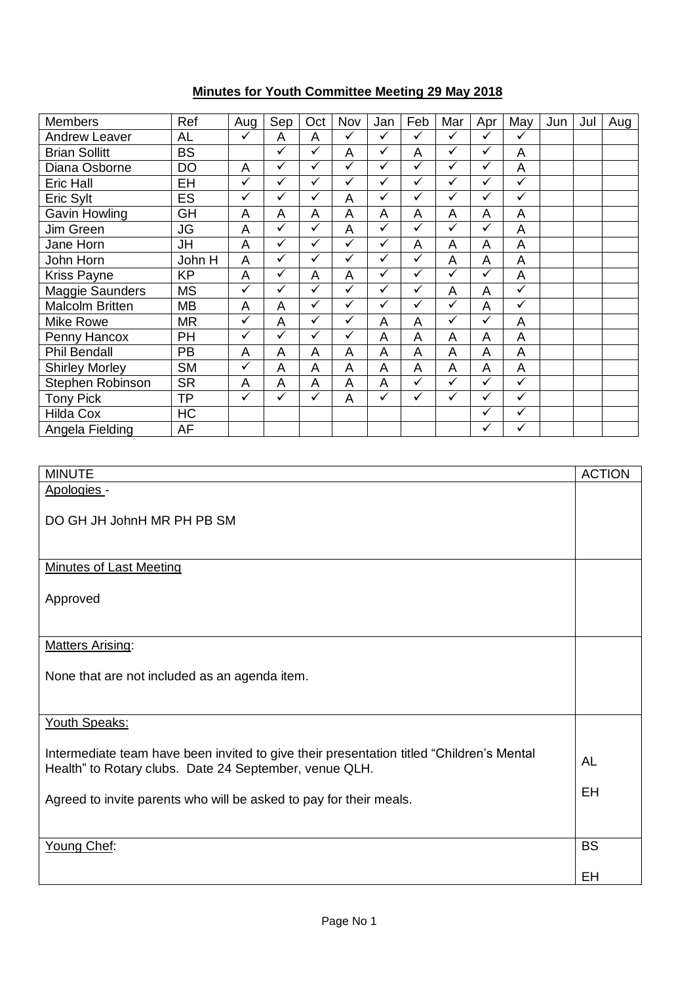## **Minutes for Youth Committee Meeting 29 May 2018**

| <b>Members</b>         | Ref       | Aug                     | Sep          | Oct          | Nov          | Jan          | Feb          | Mar          | Apr          | May          | Jun | Jul | Aug |
|------------------------|-----------|-------------------------|--------------|--------------|--------------|--------------|--------------|--------------|--------------|--------------|-----|-----|-----|
| <b>Andrew Leaver</b>   | <b>AL</b> | ✓                       | A            | A            | $\checkmark$ | ✓            | ✓            | $\checkmark$ | $\checkmark$ | $\checkmark$ |     |     |     |
| <b>Brian Sollitt</b>   | <b>BS</b> |                         | $\checkmark$ | ✓            | A            | ✓            | A            | ✓            | $\checkmark$ | A            |     |     |     |
| Diana Osborne          | DO        | A                       | ✓            | $\checkmark$ | $\checkmark$ | ✓            | ✓            | $\checkmark$ | $\checkmark$ | A            |     |     |     |
| Eric Hall              | EH        | $\overline{\checkmark}$ | ✓            | ✓            | $\checkmark$ | ✓            | ✓            | ✓            | ✓            | $\checkmark$ |     |     |     |
| Eric Sylt              | ES        | $\checkmark$            | $\checkmark$ | $\checkmark$ | A            | $\checkmark$ | $\checkmark$ | $\checkmark$ | $\checkmark$ | $\checkmark$ |     |     |     |
| Gavin Howling          | GH        | A                       | A            | A            | A            | A            | A            | A            | A            | A            |     |     |     |
| Jim Green              | <b>JG</b> | A                       | ✓            | $\checkmark$ | A            | ✓            | ✓            | $\checkmark$ | $\checkmark$ | A            |     |     |     |
| Jane Horn              | JH        | A                       | ✓            | $\checkmark$ | $\checkmark$ | $\checkmark$ | A            | A            | A            | A            |     |     |     |
| John Horn              | John H    | A                       | $\checkmark$ | ✓            | $\checkmark$ | $\checkmark$ | ✓            | A            | A            | A            |     |     |     |
| Kriss Payne            | <b>KP</b> | A                       | $\checkmark$ | A            | A            | ✓            | ✓            | ✓            | ✓            | A            |     |     |     |
| Maggie Saunders        | <b>MS</b> | ✓                       | ✓            | $\checkmark$ | $\checkmark$ | ✓            | $\checkmark$ | A            | A            | $\checkmark$ |     |     |     |
| <b>Malcolm Britten</b> | <b>MB</b> | A                       | A            | ✓            | $\checkmark$ | ✓            | ✓            | $\checkmark$ | A            | $\checkmark$ |     |     |     |
| Mike Rowe              | <b>MR</b> | ✓                       | A            | $\checkmark$ | $\checkmark$ | A            | A            | $\checkmark$ | ✓            | A            |     |     |     |
| Penny Hancox           | PH        | $\checkmark$            | $\checkmark$ | ✓            | $\checkmark$ | A            | A            | A            | A            | A            |     |     |     |
| <b>Phil Bendall</b>    | <b>PB</b> | A                       | A            | A            | A            | A            | A            | A            | A            | A            |     |     |     |
| <b>Shirley Morley</b>  | <b>SM</b> | $\checkmark$            | A            | A            | A            | A            | A            | A            | A            | A            |     |     |     |
| Stephen Robinson       | <b>SR</b> | A                       | A            | A            | A            | A            | $\checkmark$ | $\checkmark$ | $\checkmark$ | $\checkmark$ |     |     |     |
| <b>Tony Pick</b>       | <b>TP</b> | ✓                       | $\checkmark$ | $\checkmark$ | A            | $\checkmark$ | $\checkmark$ | ✓            | ✓            | $\checkmark$ |     |     |     |
| <b>Hilda Cox</b>       | HC        |                         |              |              |              |              |              |              | ✓            | ✓            |     |     |     |
| Angela Fielding        | AF        |                         |              |              |              |              |              |              | ✓            | $\checkmark$ |     |     |     |

| <b>MINUTE</b>                                                                                                                                      | <b>ACTION</b> |
|----------------------------------------------------------------------------------------------------------------------------------------------------|---------------|
| Apologies -                                                                                                                                        |               |
|                                                                                                                                                    |               |
| DO GH JH JohnH MR PH PB SM                                                                                                                         |               |
|                                                                                                                                                    |               |
| <b>Minutes of Last Meeting</b>                                                                                                                     |               |
|                                                                                                                                                    |               |
| Approved                                                                                                                                           |               |
|                                                                                                                                                    |               |
| <b>Matters Arising:</b>                                                                                                                            |               |
|                                                                                                                                                    |               |
| None that are not included as an agenda item.                                                                                                      |               |
|                                                                                                                                                    |               |
| Youth Speaks:                                                                                                                                      |               |
|                                                                                                                                                    |               |
| Intermediate team have been invited to give their presentation titled "Children's Mental<br>Health" to Rotary clubs. Date 24 September, venue QLH. | <b>AL</b>     |
|                                                                                                                                                    | EH            |
| Agreed to invite parents who will be asked to pay for their meals.                                                                                 |               |
|                                                                                                                                                    |               |
| Young Chef:                                                                                                                                        | <b>BS</b>     |
|                                                                                                                                                    |               |
|                                                                                                                                                    | EH            |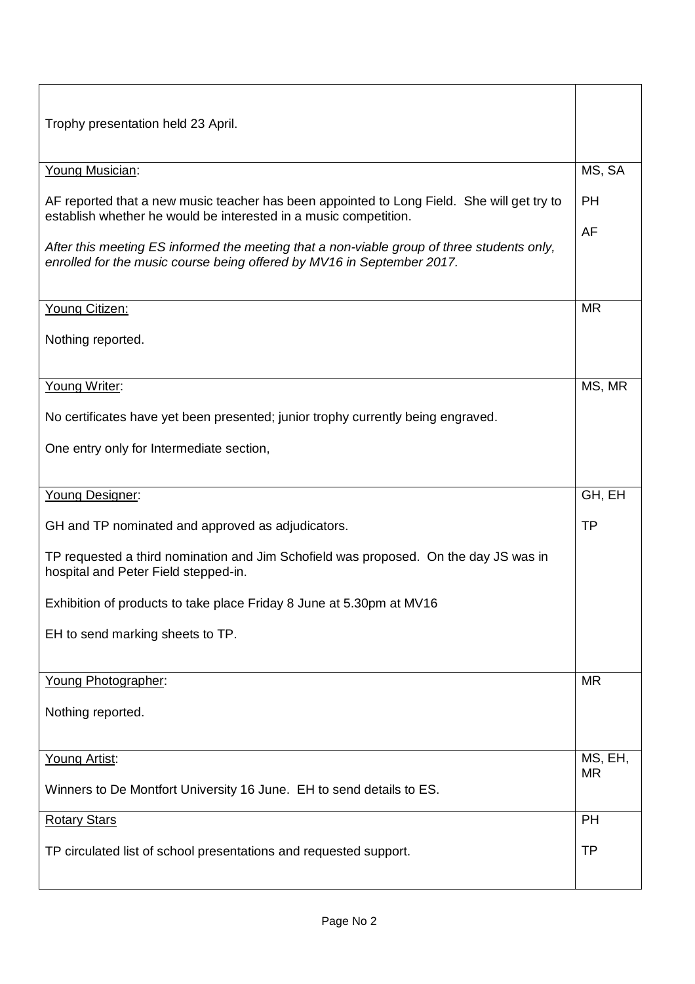| Trophy presentation held 23 April.                                                                                                                                                                                                                                                                                                     |           |  |
|----------------------------------------------------------------------------------------------------------------------------------------------------------------------------------------------------------------------------------------------------------------------------------------------------------------------------------------|-----------|--|
| Young Musician:                                                                                                                                                                                                                                                                                                                        | MS, SA    |  |
| AF reported that a new music teacher has been appointed to Long Field. She will get try to<br>establish whether he would be interested in a music competition.<br>After this meeting ES informed the meeting that a non-viable group of three students only,<br>enrolled for the music course being offered by MV16 in September 2017. |           |  |
| Young Citizen:<br>Nothing reported.                                                                                                                                                                                                                                                                                                    | <b>MR</b> |  |
| Young Writer:<br>No certificates have yet been presented; junior trophy currently being engraved.                                                                                                                                                                                                                                      | MS, MR    |  |
| One entry only for Intermediate section,                                                                                                                                                                                                                                                                                               |           |  |
| Young Designer:                                                                                                                                                                                                                                                                                                                        | GH, EH    |  |
|                                                                                                                                                                                                                                                                                                                                        |           |  |
| GH and TP nominated and approved as adjudicators.                                                                                                                                                                                                                                                                                      | <b>TP</b> |  |
| TP requested a third nomination and Jim Schofield was proposed. On the day JS was in<br>hospital and Peter Field stepped-in.                                                                                                                                                                                                           |           |  |
| Exhibition of products to take place Friday 8 June at 5.30pm at MV16                                                                                                                                                                                                                                                                   |           |  |
| EH to send marking sheets to TP.                                                                                                                                                                                                                                                                                                       |           |  |
| Young Photographer:                                                                                                                                                                                                                                                                                                                    | <b>MR</b> |  |
| Nothing reported.                                                                                                                                                                                                                                                                                                                      |           |  |
| Young Artist:                                                                                                                                                                                                                                                                                                                          | MS, EH,   |  |
| Winners to De Montfort University 16 June. EH to send details to ES.                                                                                                                                                                                                                                                                   | <b>MR</b> |  |
| <b>Rotary Stars</b>                                                                                                                                                                                                                                                                                                                    | PH        |  |